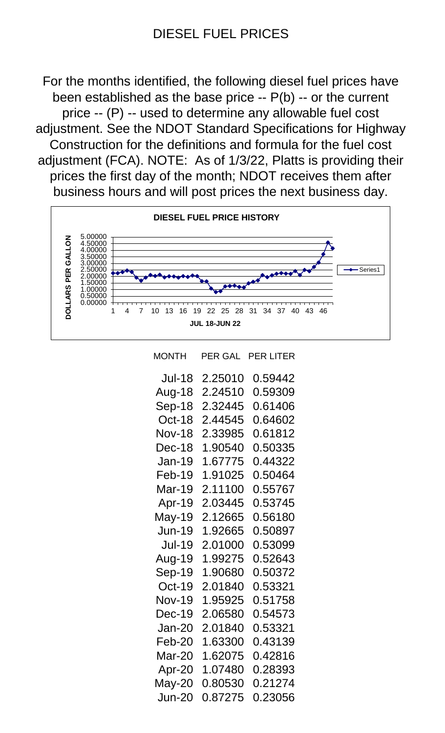## DIESEL FUEL PRICES

For the months identified, the following diesel fuel prices have been established as the base price -- P(b) -- or the current price -- (P) -- used to determine any allowable fuel cost adjustment. See the NDOT Standard Specifications for Highway Construction for the definitions and formula for the fuel cost adjustment (FCA). NOTE: As of 1/3/22, Platts is providing their prices the first day of the month; NDOT receives them after business hours and will post prices the next business day.



| MONTH         | PER GAL | <b>PER LITER</b> |
|---------------|---------|------------------|
| <b>Jul-18</b> | 2.25010 | 0.59442          |
| Aug-18        | 2.24510 | 0.59309          |
| Sep-18        | 2.32445 | 0.61406          |
| Oct-18        | 2.44545 | 0.64602          |
| <b>Nov-18</b> | 2.33985 | 0.61812          |
| Dec-18        | 1.90540 | 0.50335          |
| <b>Jan-19</b> | 1.67775 | 0.44322          |
| Feb-19        | 1.91025 | 0.50464          |
| Mar-19        | 2.11100 | 0.55767          |
| Apr-19        | 2.03445 | 0.53745          |
| May-19        | 2.12665 | 0.56180          |
| <b>Jun-19</b> | 1.92665 | 0.50897          |
| <b>Jul-19</b> | 2.01000 | 0.53099          |
| Aug-19        | 1.99275 | 0.52643          |
| Sep-19        | 1.90680 | 0.50372          |
| <b>Oct-19</b> | 2.01840 | 0.53321          |
| <b>Nov-19</b> | 1.95925 | 0.51758          |
| Dec-19        | 2.06580 | 0.54573          |
| <b>Jan-20</b> | 2.01840 | 0.53321          |
| Feb-20        | 1.63300 | 0.43139          |
| Mar-20        | 1.62075 | 0.42816          |
| Apr-20        | 1.07480 | 0.28393          |
| May-20        | 0.80530 | 0.21274          |
| <b>Jun-20</b> | 0.87275 | 0.23056          |
|               |         |                  |